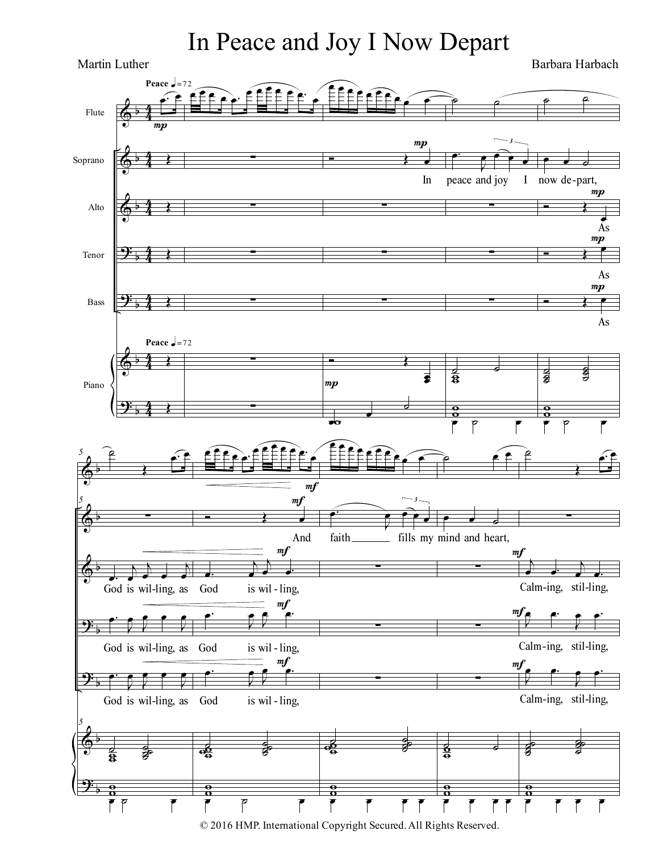## In Peace and Joy I Now Depart

 $\Phi$  $\spadesuit$  $\Phi$  $\frac{1}{2}$  $\overline{9}$  $\Phi$  $\overline{9}$ : α α α α α α α  $rac{4}{4}$ 4 3 4  $_{4}^{4}$ 4 3 4  $rac{4}{4}$ 4  $rac{4}{4}$ 4 3 4 Flute Soprano Alto Tenor Bass Piano œ− œ Œ Œ Œ Œ Œ Œ **Peace**  $\sqrt{\frac{3}{2}}$  = 72 Peace  $\frac{1}{2}$ =72  $m$ ⊕<br>≘ ≘ e e e £∰Ê œ ∑ ∑ ∑ ∑ ∑ ∑ **e**<br>EEEEEE œ  $\leftarrow$  $\overrightarrow{c}$ In ∑ ∑ ∑  $\overline{\mathbf{r}}$   $\overline{\mathbf{r}}$ œ œ  $\frac{1}{2}$ œ  $\frac{1}{2}$ ϖ  $mp$  $\bm{m} \bm{p}$  $^{\circ}$ œ− Ι  $\widehat{\mathbf{e}}$ œ *3* peace and joy I ∑ ∑ ∑  $\frac{2}{3}$  $\bar{\mathbf{z}}$  $\frac{\overline{a}}{a}$  $\frac{8}{1}$  $\overline{P}$   $\overline{P}$   $\overline{P}$  $\rho$   $\rho$ **∙ ∙** ∘ now de-part,  $\overline{\cdot}$   $\overline{\cdot}$ œ As  $\overline{\cdot}$   $\overline{\cdot}$ œ Ο As  $\overrightarrow{r}$ As  $\frac{1}{2}$ d<br>g ˙ ˙ å<br>å ă<br>O  $\frac{\overline{a}}{a}$  $\frac{8}{1}$  $\overline{P}$   $\overline{P}$   $\overline{P}$  $mp$  $mp$  $\Phi$  $\Phi$  $\Phi$  $\overline{9}$  $\frac{1}{2}$  $\Phi$  $\overline{9}$ : α α α α α α α  $5$   $\rightarrow$   $2$ Œ œ− œ *5* ∑ œ− œ ι ι  $\overrightarrow{a}$ ι œ God is wil-ling, as God is wilœ− Ζ œ Ι œ œ Ι œ God is wil-ling, as God is wilœ− Ι œ Ι œ œ Ι œ God is wil-ling, as God is wil-*5*  $\frac{1}{2}$  $\frac{2}{3}$ ϖ ϖ œ ˙ œ e e <u>े⊷</u> effee∙ œ  $\overrightarrow{a}$ And œ− ι œ ι œ œ− God is wil-ling, œ− Ι œ Ι  $\mathbb{P}$  =  $\mathbb{P}$ God is wil-ling, œ− Ζ œ Ι  $\mathbb{E}$  mf is wil-ling,  $\frac{3}{4}$ 。<br>g  $\frac{a}{a}$   $\frac{a}{b}$ ϖ ϖ ϖ  $\overline{P}$   $\overline{P}$   $\overline{P}$  $m f$ mf  $m f$ ÊÊÊ **e** e œ  $\sqrt{\epsilon}$ œ− Ι  $\hat{e}$ œ *3* faith \_\_\_\_\_\_\_\_\_ fills my mind and heart, ∑ ∑ ∑  $\frac{1}{3}$ 。<br>g  $\delta$   $\delta$ ϖ ϖ ϖ œ œ œ œ  $\epsilon$  $\bullet$   $\bullet$   $\circ$ ∑ ∑ ∑  $rac{8}{2}$ ϖ  $\frac{\overline{a}}{a}$  $\frac{8}{1}$ <del>。</del><br>● mf  $m$ mf ˙ Œ œ− œ ∑ ι œ œ− ι œ œ− Calm-ing, stil-ling, Ι .<br>≞ ≞∙ Ζ e<br>∈ e: Calm-ing, stil-ling, Ι e e∸ Ζ e e∸ Calm-ing, stil-ling, æ<br>æ g<br>8 g<br>8  $_{2}^{\pm}$ 。<br>。 t<br>Ö  $\frac{\overline{a}}{a}$ ϖ œ œ œ œ Barbara Harbach Martin Luther

© 2016 HMP. International Copyright Secured.All Rights Reserved.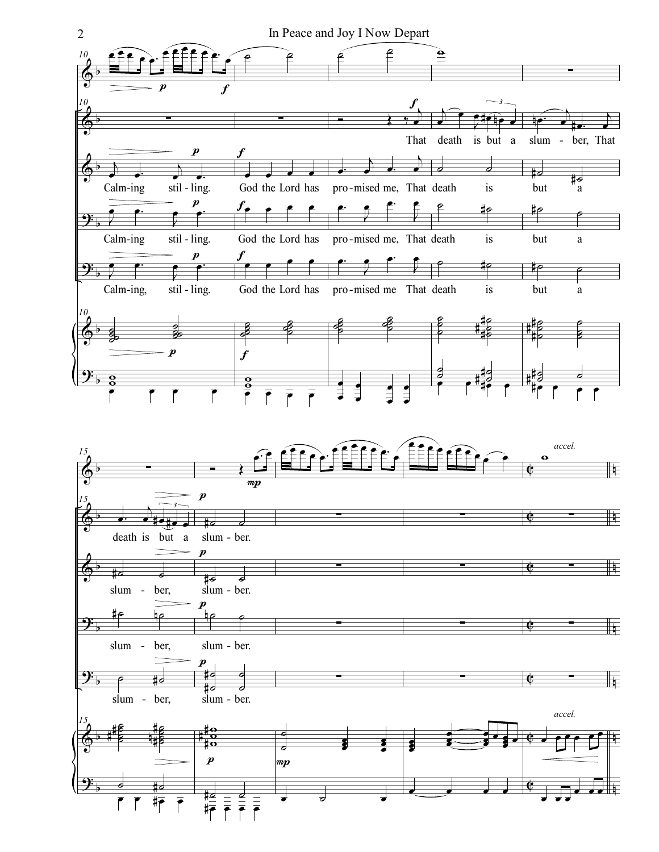